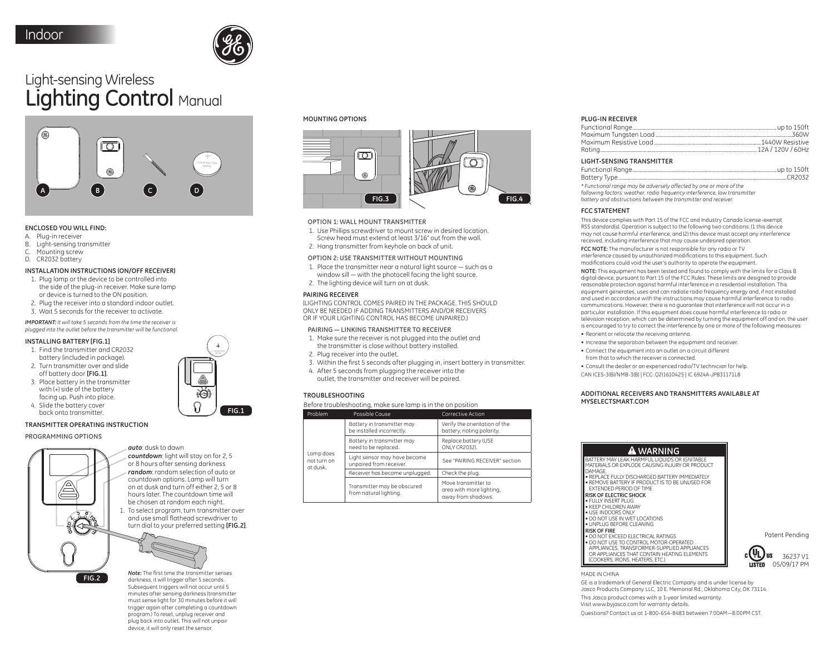

# Light-sensing Wireless Lighting Control Manual



### **ENCLOSED YOU WILL FIND:**

- A. Plug-in receiver
- B. Light-sensing transmitter
- C. Mounting screw
- D. CR2032 battery

# **INSTALLATION INSTRUCTIONS (ON/OFF RECEIVER)**

- 1. Plug lamp or the device to be controlled into the side of the plug-in receiver. Make sure lamp or device is turned to the ON position.
- 2. Plug the receiver into a standard indoor outlet.
- 3. Wait 5 seconds for the receiver to activate.

**IMPORTANT:** It will take 5 seconds from the time the receiver is plugged into the outlet before the transmitter will be functional.

### **INSTALLING BATTERY [FIG.1]**

- 1. Find the transmitter and CR2032 battery (included in package).
- 2. Turn transmitter over and slide off battery door [FIG.1].
- 3. Place battery in the transmitter with (+) side of the battery facing up. Push into place. 4. Slide the battery cover
- back onto transmitter.

# **TRANSMITTER OPERATING INSTRUCTION**

PROGRAMMING OPTIONS



- auto: dusk to dawn countdown: light will stay on for 2, 5
- or 8 hours after sensing darkness random: random selection of auto or countdown options. Lamp will turn on at dusk and turn off either 2, 5 or 8 hours later. The countdown time will be chosen at random each night.
- 1. To select program, turn transmitter over and use small flathead screwdriver to turn dial to your preferred setting [FIG.2].



Note: The first time the transmitter senses darkness, it will trigger after 5 seconds. Subsequent triggers will not occur until 5 minutes after sensing darkness (transmitter must sense light for 30 minutes before it will trigger again after completing a countdown program.) To reset, unplug receiver and plug back into outlet. This will not unpair device, it will only reset the sensor.

#### **MOUNTING OPTIONS**



### **OPTION 1: WALL MOUNT TRANSMITTER**

- 1. Use Phillips screwdriver to mount screw in desired location.
- Screw head must extend at least 3/16" out from the wall.
- 2. Hang transmitter from keyhole on back of unit.

# OPTION 2: USE TRANSMITTER WITHOUT MOUNTING

- 1. Place the transmitter near a natural liaht source such as a window sill - with the photocell facing the light source.
- 2. The lighting device will turn on at dusk.

# **PAIRING RECEIVER**

(LIGHTING CONTROL COMES PAIRED IN THE PACKAGE, THIS SHOULD ONLY BE NEEDED IF ADDING TRANSMITTERS AND/OR RECEIVERS OR IF YOUR LIGHTING CONTROL HAS BECOME UNPAIRED.)

### PAIRING - LINKING TRANSMITTER TO RECEIVER

- 1. Make sure the receiver is not plugged into the outlet and the transmitter is close without battery installed.
- 2. Plug receiver into the outlet.
- 3. Within the first 5 seconds after plugging in, insert battery in transmitter.
- 4. After 5 seconds from plugging the receiver into the outlet, the transmitter and receiver will be paired.

### **TROUBLESHOOTING**

# Before troubleshooting, make sure lamp is in the on position

| Problem                              | Possible Cause                                          | Corrective Action                                                     |
|--------------------------------------|---------------------------------------------------------|-----------------------------------------------------------------------|
| Lamp does<br>not turn on<br>at dusk. | Battery in transmitter may<br>be installed incorrectly. | Verify the orientation of the<br>battery, noting polarity.            |
|                                      | Battery in transmitter may<br>need to be replaced.      | Replace battery (USE<br><b>ONLY CR2032).</b>                          |
|                                      | Light sensor may have become<br>unpaired from receiver. | See "PAIRING RECEIVER" section                                        |
|                                      | Receiver has become unplugged.                          | Check the plug.                                                       |
|                                      | Transmitter may be obscured<br>from natural lighting.   | Move transmitter to<br>area with more lighting,<br>away from shadows. |

### PLUG-IN RECEIVER

| <b>LIGHT-SENSING TRANSMITTER</b> |  |
|----------------------------------|--|
|                                  |  |
|                                  |  |
|                                  |  |

\* Functional range may be adversely affected by one or more of the following factors: weather, radio frequency interference, low transmitter battery and obstructions between the transmitter and receiver.

### **FCC STATEMENT**

This device complies with Part 15 of the ECC and Industry Canada license-exempt RSS standard(s). Operation is subject to the following two conditions: (1 this device may not cause harmful interference, and (2) this device must accept any interference received, including interference that may cause undesired operation

FCC NOTE: The manufacturer is not responsible for any radio or TV interference caused by unauthorized modifications to this equipment. Such modifications could void the user's authority to operate the equipment.

NOTE: This equipment has been tested and found to comply with the limits for a Class B digital device, pursuant to Part 15 of the FCC Rules. These limits are designed to provide reasonable protection against harmful interference in a residential installation. This equipment generates, uses and can radiate radio frequency energy and, if not installed and used in accordance with the instructions may cause harmful interference to radio communications. However, there is no guarantee that interference will not occur in a particular installation. If this equipment does cause harmful interference to radio or television reception, which can be determined by turning the equipment off and on, the user is encouraged to try to correct the interference by one or more of the following measures:

- Reorient or relocate the receiving antenna.
- . Increase the separation between the equipment and receiver
- Connect the equipment into an outlet on a circuit different from that to which the receiver is connected
- . Consult the dealer or an experienced radio/TV technician for help
- CAN ICES-3(B)/NMB-3(B) | FCC: Q2I1610425 | IC 6924A-JP831171L8

### ADDITIONAL RECEIVERS AND TRANSMITTERS AVAILABLE AT MYSEL ECTSMART COM

# **A** WARNING

BATTERY MAY LEAK HARMFUL LIQUIDS OR IGNITABLE MATERIALS OR EXPLODE CAUSING INJURY OR PRODUCT DAMAGE. · REPLACE FULLY DISCHARGED BATTERY IMMEDIATELY • REMOVE BATTERY IF PRODUCT IS TO BE UNUSED FOR<br>EXTENDED PERIOD OF TIME

# **RISK OF ELECTRIC SHOCK**

· FULLY INSERT PLUG · KEEP CHILDREN AWAY · USE INDOORS ONLY . DO NOT USE IN WET LOCATIONS · UNPLUG BEFORE CLEANING

**RISK OF FIRE** → DO NOT EXCEED ELECTRICAL RATINGS<br>● DO NOT USE TO CONTROL MOTOR-OPERATED APPLIANCES, TRANSFORMER-SUPPLIED APPLIANCES OR APPLIANCES THAT CONTAIN HEATING ELEMENTS **ICOOKERS IRONS HEATERS ETC.)** 



Patent Pendina

MADE IN CHINA

GE is a trademark of General Electric Company and is under license by Jasco Products Company LLC, 10 E. Memorial Rd., Oklahoma City, OK 73114. This Jasco product comes with a 1-year limited warranty. Visit www.bviasco.com for warranty details. Ouestions? Contact us at 1-800-654-8483 between 7:00AM-8:00PM CST.